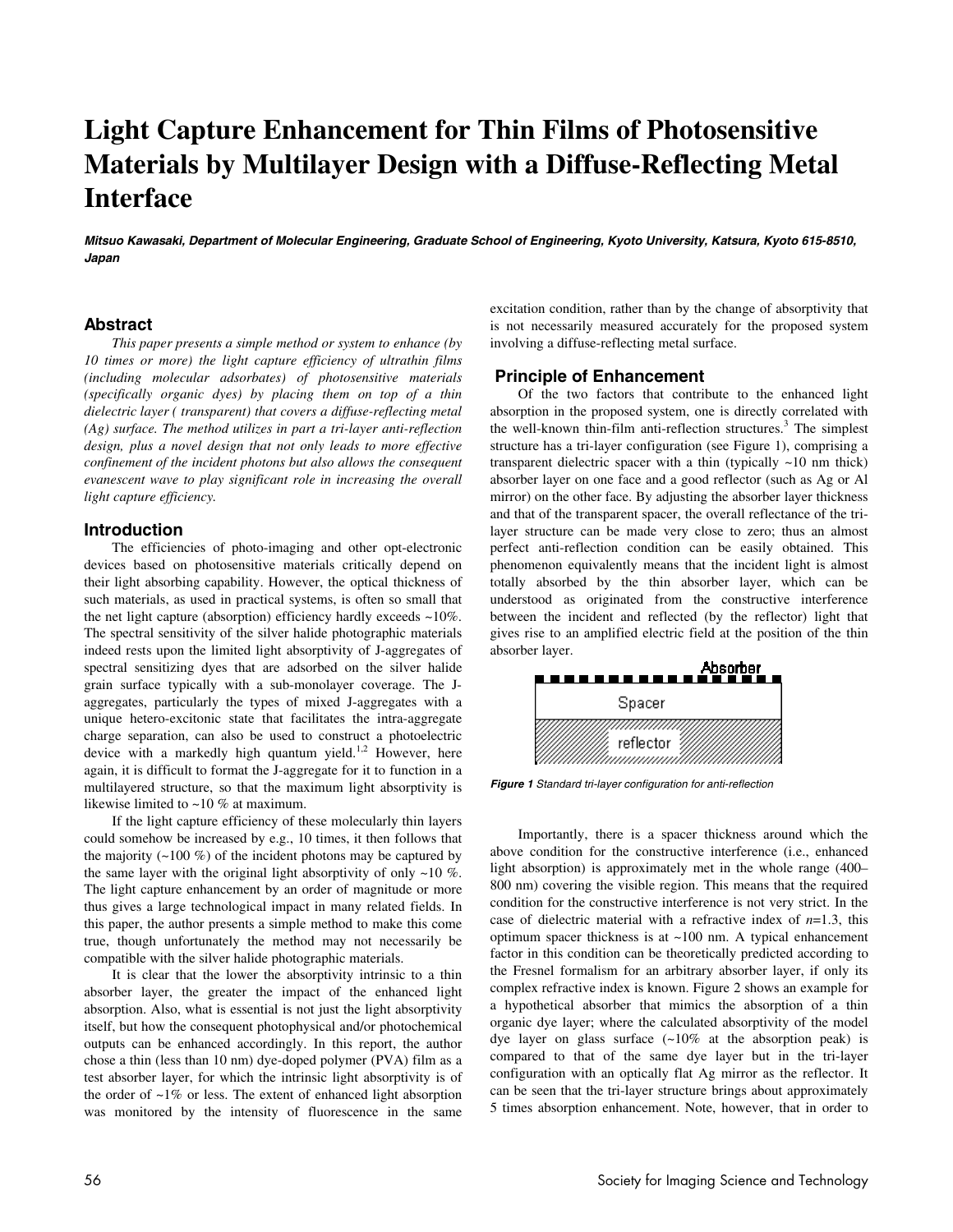# **Light Capture Enhancement for Thin Films of Photosensitive Materials by Multilayer Design with a Diffuse-Reflecting Metal Interface**

**Mitsuo Kawasaki, Department of Molecular Engineering, Graduate School of Engineering, Kyoto University, Katsura, Kyoto 615-8510, Japan** 

### **Abstract**

*This paper presents a simple method or system to enhance (by 10 times or more) the light capture efficiency of ultrathin films (including molecular adsorbates) of photosensitive materials (specifically organic dyes) by placing them on top of a thin dielectric layer ( transparent) that covers a diffuse-reflecting metal (Ag) surface. The method utilizes in part a tri-layer anti-reflection design, plus a novel design that not only leads to more effective confinement of the incident photons but also allows the consequent evanescent wave to play significant role in increasing the overall light capture efficiency.* 

#### **Introduction**

The efficiencies of photo-imaging and other opt-electronic devices based on photosensitive materials critically depend on their light absorbing capability. However, the optical thickness of such materials, as used in practical systems, is often so small that the net light capture (absorption) efficiency hardly exceeds ~10%. The spectral sensitivity of the silver halide photographic materials indeed rests upon the limited light absorptivity of J-aggregates of spectral sensitizing dyes that are adsorbed on the silver halide grain surface typically with a sub-monolayer coverage. The Jaggregates, particularly the types of mixed J-aggregates with a unique hetero-excitonic state that facilitates the intra-aggregate charge separation, can also be used to construct a photoelectric device with a markedly high quantum yield.<sup>1,2</sup> However, here again, it is difficult to format the J-aggregate for it to function in a multilayered structure, so that the maximum light absorptivity is likewise limited to ~10 % at maximum.

If the light capture efficiency of these molecularly thin layers could somehow be increased by e.g., 10 times, it then follows that the majority  $($  ~100 %) of the incident photons may be captured by the same layer with the original light absorptivity of only  $~10$  %. The light capture enhancement by an order of magnitude or more thus gives a large technological impact in many related fields. In this paper, the author presents a simple method to make this come true, though unfortunately the method may not necessarily be compatible with the silver halide photographic materials.

It is clear that the lower the absorptivity intrinsic to a thin absorber layer, the greater the impact of the enhanced light absorption. Also, what is essential is not just the light absorptivity itself, but how the consequent photophysical and/or photochemical outputs can be enhanced accordingly. In this report, the author chose a thin (less than 10 nm) dye-doped polymer (PVA) film as a test absorber layer, for which the intrinsic light absorptivity is of the order of  $\sim$ 1% or less. The extent of enhanced light absorption was monitored by the intensity of fluorescence in the same excitation condition, rather than by the change of absorptivity that is not necessarily measured accurately for the proposed system involving a diffuse-reflecting metal surface.

## **Principle of Enhancement**

Of the two factors that contribute to the enhanced light absorption in the proposed system, one is directly correlated with the well-known thin-film anti-reflection structures.<sup>3</sup> The simplest structure has a tri-layer configuration (see Figure 1), comprising a transparent dielectric spacer with a thin (typically ~10 nm thick) absorber layer on one face and a good reflector (such as Ag or Al mirror) on the other face. By adjusting the absorber layer thickness and that of the transparent spacer, the overall reflectance of the trilayer structure can be made very close to zero; thus an almost perfect anti-reflection condition can be easily obtained. This phenomenon equivalently means that the incident light is almost totally absorbed by the thin absorber layer, which can be understood as originated from the constructive interference between the incident and reflected (by the reflector) light that gives rise to an amplified electric field at the position of the thin absorber layer.



**Figure 1** Standard tri-layer configuration for anti-reflection

Importantly, there is a spacer thickness around which the above condition for the constructive interference (i.e., enhanced light absorption) is approximately met in the whole range (400– 800 nm) covering the visible region. This means that the required condition for the constructive interference is not very strict. In the case of dielectric material with a refractive index of *n*=1.3, this optimum spacer thickness is at ~100 nm. A typical enhancement factor in this condition can be theoretically predicted according to the Fresnel formalism for an arbitrary absorber layer, if only its complex refractive index is known. Figure 2 shows an example for a hypothetical absorber that mimics the absorption of a thin organic dye layer; where the calculated absorptivity of the model dye layer on glass surface  $(-10\%$  at the absorption peak) is compared to that of the same dye layer but in the tri-layer configuration with an optically flat Ag mirror as the reflector. It can be seen that the tri-layer structure brings about approximately 5 times absorption enhancement. Note, however, that in order to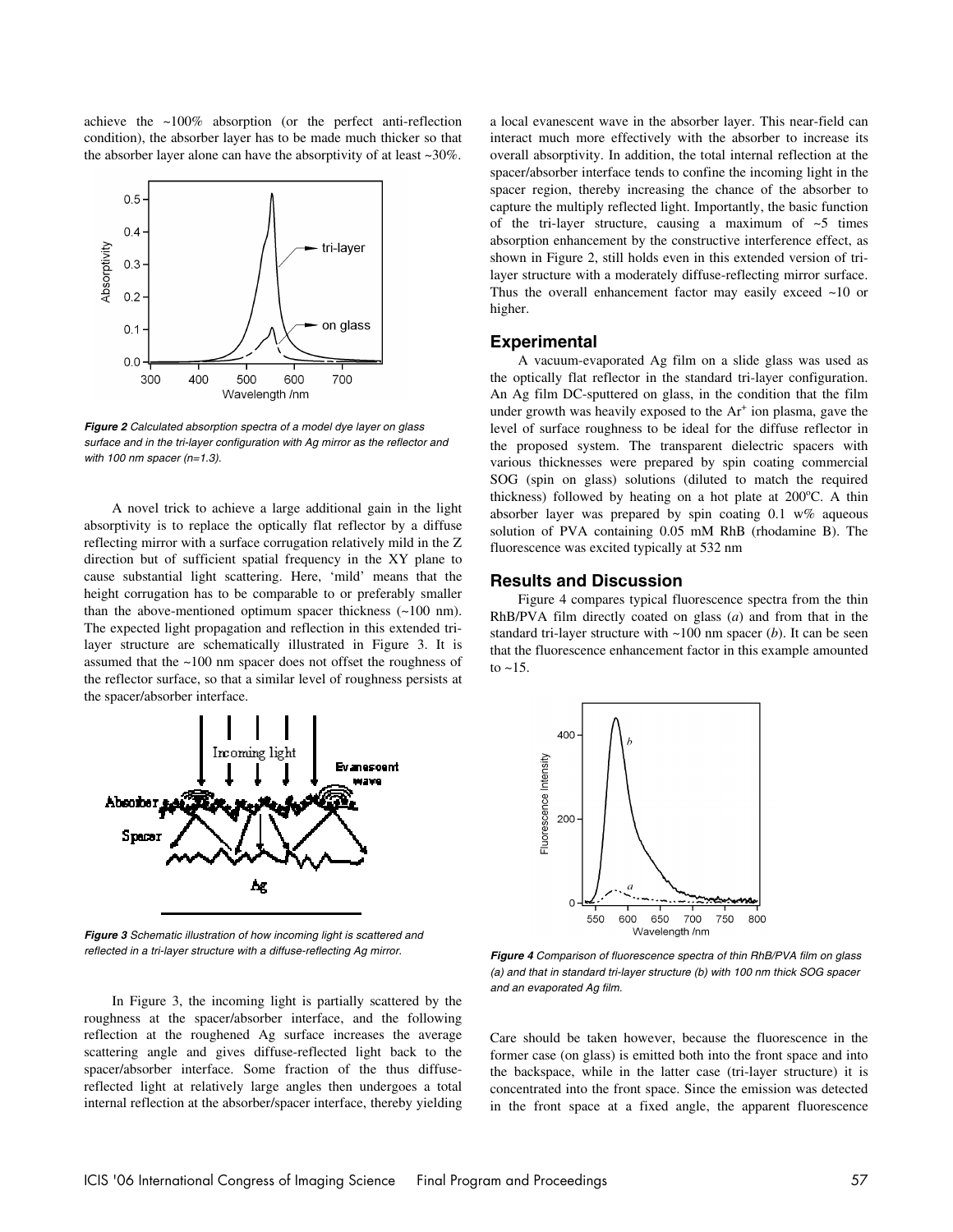achieve the ~100% absorption (or the perfect anti-reflection condition), the absorber layer has to be made much thicker so that the absorber layer alone can have the absorptivity of at least ~30%.



**Figure 2** Calculated absorption spectra of a model dye layer on glass surface and in the tri-layer configuration with Ag mirror as the reflector and with 100 nm spacer ( $n=1.3$ ).

A novel trick to achieve a large additional gain in the light absorptivity is to replace the optically flat reflector by a diffuse reflecting mirror with a surface corrugation relatively mild in the Z direction but of sufficient spatial frequency in the XY plane to cause substantial light scattering. Here, 'mild' means that the height corrugation has to be comparable to or preferably smaller than the above-mentioned optimum spacer thickness (~100 nm). The expected light propagation and reflection in this extended trilayer structure are schematically illustrated in Figure 3. It is assumed that the ~100 nm spacer does not offset the roughness of the reflector surface, so that a similar level of roughness persists at the spacer/absorber interface.



**Figure 3** Schematic illustration of how incoming light is scattered and reflected in a tri-layer structure with a diffuse-reflecting Ag mirror.

In Figure 3, the incoming light is partially scattered by the roughness at the spacer/absorber interface, and the following reflection at the roughened Ag surface increases the average scattering angle and gives diffuse-reflected light back to the spacer/absorber interface. Some fraction of the thus diffusereflected light at relatively large angles then undergoes a total internal reflection at the absorber/spacer interface, thereby yielding a local evanescent wave in the absorber layer. This near-field can interact much more effectively with the absorber to increase its overall absorptivity. In addition, the total internal reflection at the spacer/absorber interface tends to confine the incoming light in the spacer region, thereby increasing the chance of the absorber to capture the multiply reflected light. Importantly, the basic function of the tri-layer structure, causing a maximum of  $\sim$ 5 times absorption enhancement by the constructive interference effect, as shown in Figure 2, still holds even in this extended version of trilayer structure with a moderately diffuse-reflecting mirror surface. Thus the overall enhancement factor may easily exceed ~10 or higher.

#### **Experimental**

A vacuum-evaporated Ag film on a slide glass was used as the optically flat reflector in the standard tri-layer configuration. An Ag film DC-sputtered on glass, in the condition that the film under growth was heavily exposed to the Ar<sup>+</sup> ion plasma, gave the level of surface roughness to be ideal for the diffuse reflector in the proposed system. The transparent dielectric spacers with various thicknesses were prepared by spin coating commercial SOG (spin on glass) solutions (diluted to match the required thickness) followed by heating on a hot plate at  $200^{\circ}$ C. A thin absorber layer was prepared by spin coating 0.1 w% aqueous solution of PVA containing 0.05 mM RhB (rhodamine B). The fluorescence was excited typically at 532 nm

#### **Results and Discussion**

Figure 4 compares typical fluorescence spectra from the thin RhB/PVA film directly coated on glass (*a*) and from that in the standard tri-layer structure with ~100 nm spacer (*b*). It can be seen that the fluorescence enhancement factor in this example amounted to  $~15$ .



**Figure 4** Comparison of fluorescence spectra of thin RhB/PVA film on glass (a) and that in standard tri-layer structure (b) with 100 nm thick SOG spacer and an evaporated Ag film.

Care should be taken however, because the fluorescence in the former case (on glass) is emitted both into the front space and into the backspace, while in the latter case (tri-layer structure) it is concentrated into the front space. Since the emission was detected in the front space at a fixed angle, the apparent fluorescence